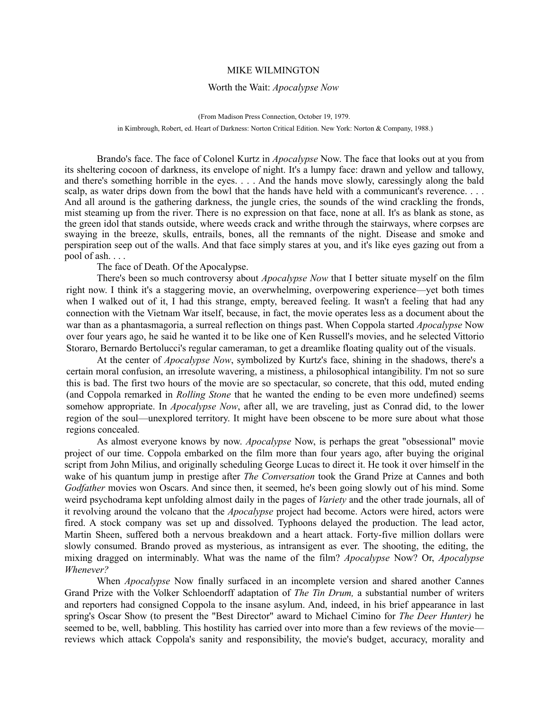## MIKE WILMINGTON

## Worth the Wait: *Apocalypse Now*

(From Madison Press Connection, October 19, 1979.

in Kimbrough, Robert, ed. Heart of Darkness: Norton Critical Edition. New York: Norton & Company, 1988.)

Brando's face. The face of Colonel Kurtz in *Apocalypse* Now. The face that looks out at you from its sheltering cocoon of darkness, its envelope of night. It's a lumpy face: drawn and yellow and tallowy, and there's something horrible in the eyes. . . . And the hands move slowly, caressingly along the bald scalp, as water drips down from the bowl that the hands have held with a communicant's reverence. . . . And all around is the gathering darkness, the jungle cries, the sounds of the wind crackling the fronds, mist steaming up from the river. There is no expression on that face, none at all. It's as blank as stone, as the green idol that stands outside, where weeds crack and writhe through the stairways, where corpses are swaying in the breeze, skulls, entrails, bones, all the remnants of the night. Disease and smoke and perspiration seep out of the walls. And that face simply stares at you, and it's like eyes gazing out from a pool of ash. . . .

The face of Death. Of the Apocalypse.

There's been so much controversy about *Apocalypse Now* that I better situate myself on the film right now. I think it's a staggering movie, an overwhelming, overpowering experience—yet both times when I walked out of it, I had this strange, empty, bereaved feeling. It wasn't a feeling that had any connection with the Vietnam War itself, because, in fact, the movie operates less as a document about the war than as a phantasmagoria, a surreal reflection on things past. When Coppola started *Apocalypse* Now over four years ago, he said he wanted it to be like one of Ken Russell's movies, and he selected Vittorio Storaro, Bernardo Bertolucci's regular cameraman, to get a dreamlike floating quality out of the visuals.

At the center of *Apocalypse Now*, symbolized by Kurtz's face, shining in the shadows, there's a certain moral confusion, an irresolute wavering, a mistiness, a philosophical intangibility. I'm not so sure this is bad. The first two hours of the movie are so spectacular, so concrete, that this odd, muted ending (and Coppola remarked in *Rolling Stone* that he wanted the ending to be even more undefined) seems somehow appropriate. In *Apocalypse Now*, after all, we are traveling, just as Conrad did, to the lower region of the soul—unexplored territory. It might have been obscene to be more sure about what those regions concealed.

As almost everyone knows by now. *Apocalypse* Now, is perhaps the great "obsessional" movie project of our time. Coppola embarked on the film more than four years ago, after buying the original script from John Milius, and originally scheduling George Lucas to direct it. He took it over himself in the wake of his quantum jump in prestige after *The Conversation* took the Grand Prize at Cannes and both *Godfather* movies won Oscars. And since then, it seemed, he's been going slowly out of his mind. Some weird psychodrama kept unfolding almost daily in the pages of *Variety* and the other trade journals, all of it revolving around the volcano that the *Apocalypse* project had become. Actors were hired, actors were fired. A stock company was set up and dissolved. Typhoons delayed the production. The lead actor, Martin Sheen, suffered both a nervous breakdown and a heart attack. Forty-five million dollars were slowly consumed. Brando proved as mysterious, as intransigent as ever. The shooting, the editing, the mixing dragged on interminably. What was the name of the film? *Apocalypse* Now? Or, *Apocalypse Whenever?*

When *Apocalypse* Now finally surfaced in an incomplete version and shared another Cannes Grand Prize with the Volker Schloendorff adaptation of *The Tin Drum,* a substantial number of writers and reporters had consigned Coppola to the insane asylum. And, indeed, in his brief appearance in last spring's Oscar Show (to present the "Best Director" award to Michael Cimino for *The Deer Hunter)* he seemed to be, well, babbling. This hostility has carried over into more than a few reviews of the movie reviews which attack Coppola's sanity and responsibility, the movie's budget, accuracy, morality and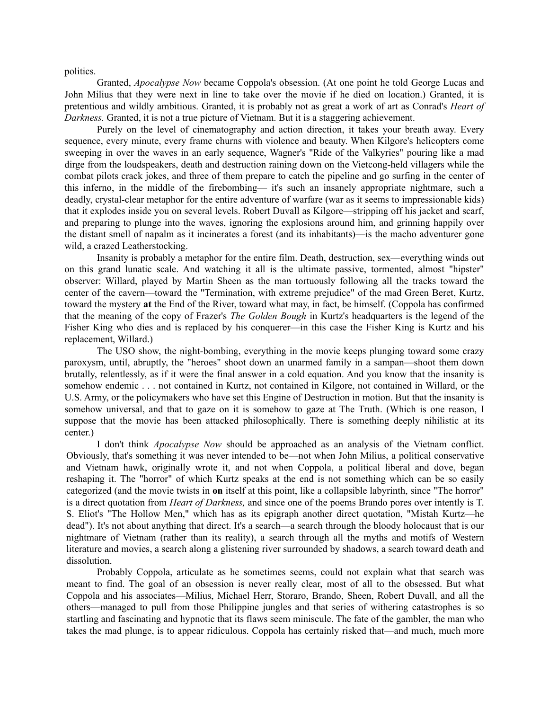politics.

Granted, *Apocalypse Now* became Coppola's obsession. (At one point he told George Lucas and John Milius that they were next in line to take over the movie if he died on location.) Granted, it is pretentious and wildly ambitious. Granted, it is probably not as great a work of art as Conrad's *Heart of Darkness.* Granted, it is not a true picture of Vietnam. But it is a staggering achievement.

Purely on the level of cinematography and action direction, it takes your breath away. Every sequence, every minute, every frame churns with violence and beauty. When Kilgore's helicopters come sweeping in over the waves in an early sequence, Wagner's "Ride of the Valkyries" pouring like a mad dirge from the loudspeakers, death and destruction raining down on the Vietcong-held villagers while the combat pilots crack jokes, and three of them prepare to catch the pipeline and go surfing in the center of this inferno, in the middle of the firebombing— it's such an insanely appropriate nightmare, such a deadly, crystal-clear metaphor for the entire adventure of warfare (war as it seems to impressionable kids) that it explodes inside you on several levels. Robert Duvall as Kilgore—stripping off his jacket and scarf, and preparing to plunge into the waves, ignoring the explosions around him, and grinning happily over the distant smell of napalm as it incinerates a forest (and its inhabitants)—is the macho adventurer gone wild, a crazed Leatherstocking.

Insanity is probably a metaphor for the entire film. Death, destruction, sex—everything winds out on this grand lunatic scale. And watching it all is the ultimate passive, tormented, almost "hipster" observer: Willard, played by Martin Sheen as the man tortuously following all the tracks toward the center of the cavern—toward the "Termination, with extreme prejudice" of the mad Green Beret, Kurtz, toward the mystery **at** the End of the River, toward what may, in fact, be himself. (Coppola has confirmed that the meaning of the copy of Frazer's *The Golden Bough* in Kurtz's headquarters is the legend of the Fisher King who dies and is replaced by his conquerer—in this case the Fisher King is Kurtz and his replacement, Willard.)

The USO show, the night-bombing, everything in the movie keeps plunging toward some crazy paroxysm, until, abruptly, the "heroes" shoot down an unarmed family in a sampan—shoot them down brutally, relentlessly, as if it were the final answer in a cold equation. And you know that the insanity is somehow endemic . . . not contained in Kurtz, not contained in Kilgore, not contained in Willard, or the U.S. Army, or the policymakers who have set this Engine of Destruction in motion. But that the insanity is somehow universal, and that to gaze on it is somehow to gaze at The Truth. (Which is one reason, I suppose that the movie has been attacked philosophically. There is something deeply nihilistic at its center.)

I don't think *Apocalypse Now* should be approached as an analysis of the Vietnam conflict. Obviously, that's something it was never intended to be—not when John Milius, a political conservative and Vietnam hawk, originally wrote it, and not when Coppola, a political liberal and dove, began reshaping it. The "horror" of which Kurtz speaks at the end is not something which can be so easily categorized (and the movie twists in **on** itself at this point, like a collapsible labyrinth, since "The horror" is a direct quotation from *Heart of Darkness,* and since one of the poems Brando pores over intently is T. S. Eliot's "The Hollow Men," which has as its epigraph another direct quotation, "Mistah Kurtz—he dead"). It's not about anything that direct. It's a search—a search through the bloody holocaust that is our nightmare of Vietnam (rather than its reality), a search through all the myths and motifs of Western literature and movies, a search along a glistening river surrounded by shadows, a search toward death and dissolution.

Probably Coppola, articulate as he sometimes seems, could not explain what that search was meant to find. The goal of an obsession is never really clear, most of all to the obsessed. But what Coppola and his associates—Milius, Michael Herr, Storaro, Brando, Sheen, Robert Duvall, and all the others—managed to pull from those Philippine jungles and that series of withering catastrophes is so startling and fascinating and hypnotic that its flaws seem miniscule. The fate of the gambler, the man who takes the mad plunge, is to appear ridiculous. Coppola has certainly risked that—and much, much more